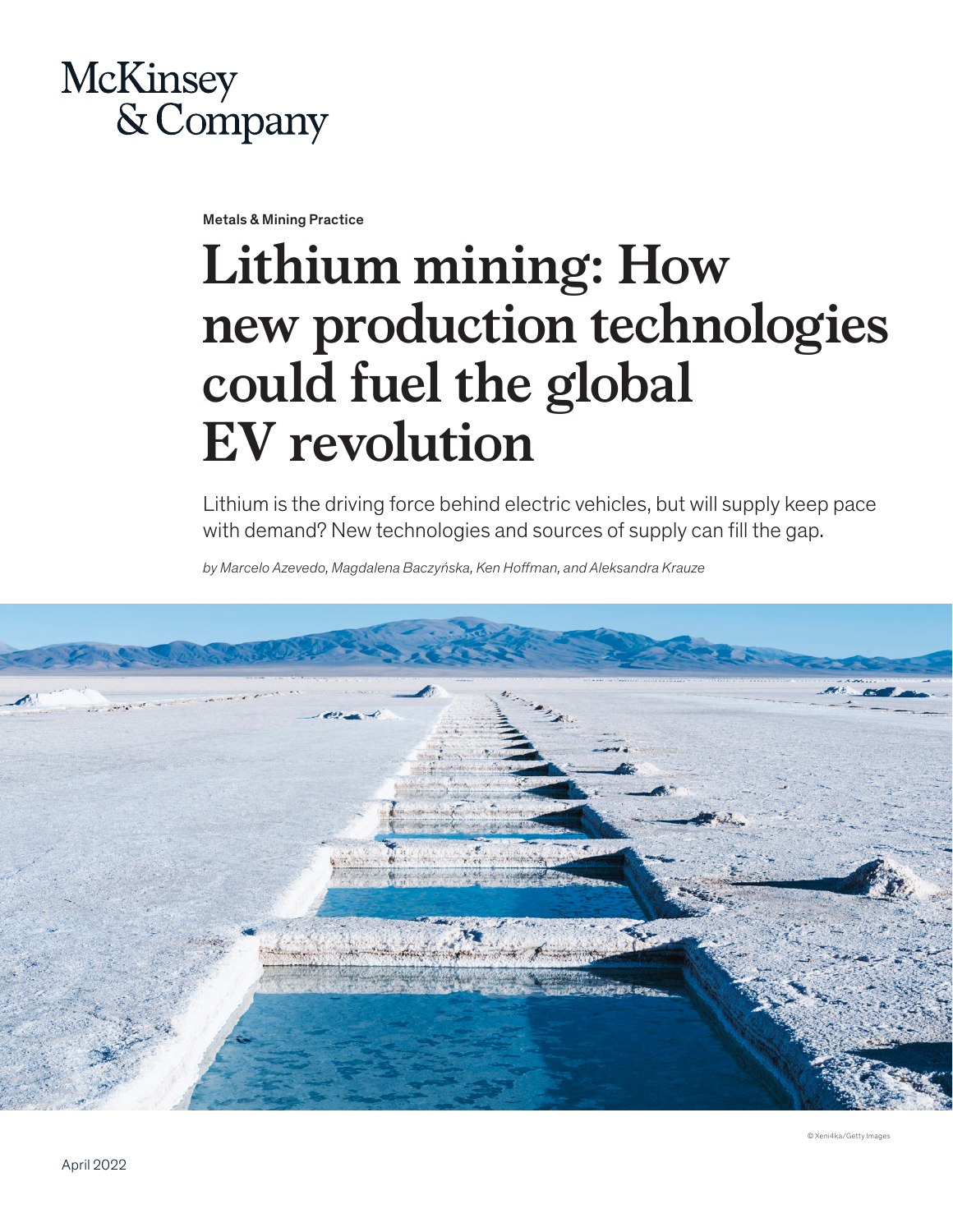# **McKinsey** & Company

Metals & Mining Practice

# **Lithium mining: How new production technologies could fuel the global EV revolution**

Lithium is the driving force behind electric vehicles, but will supply keep pace with demand? New technologies and sources of supply can fill the gap.

*by Marcelo Azevedo, Magdalena Baczyńska, Ken Hoffman, and Aleksandra Krauze*



© Xeni4ka/Getty Image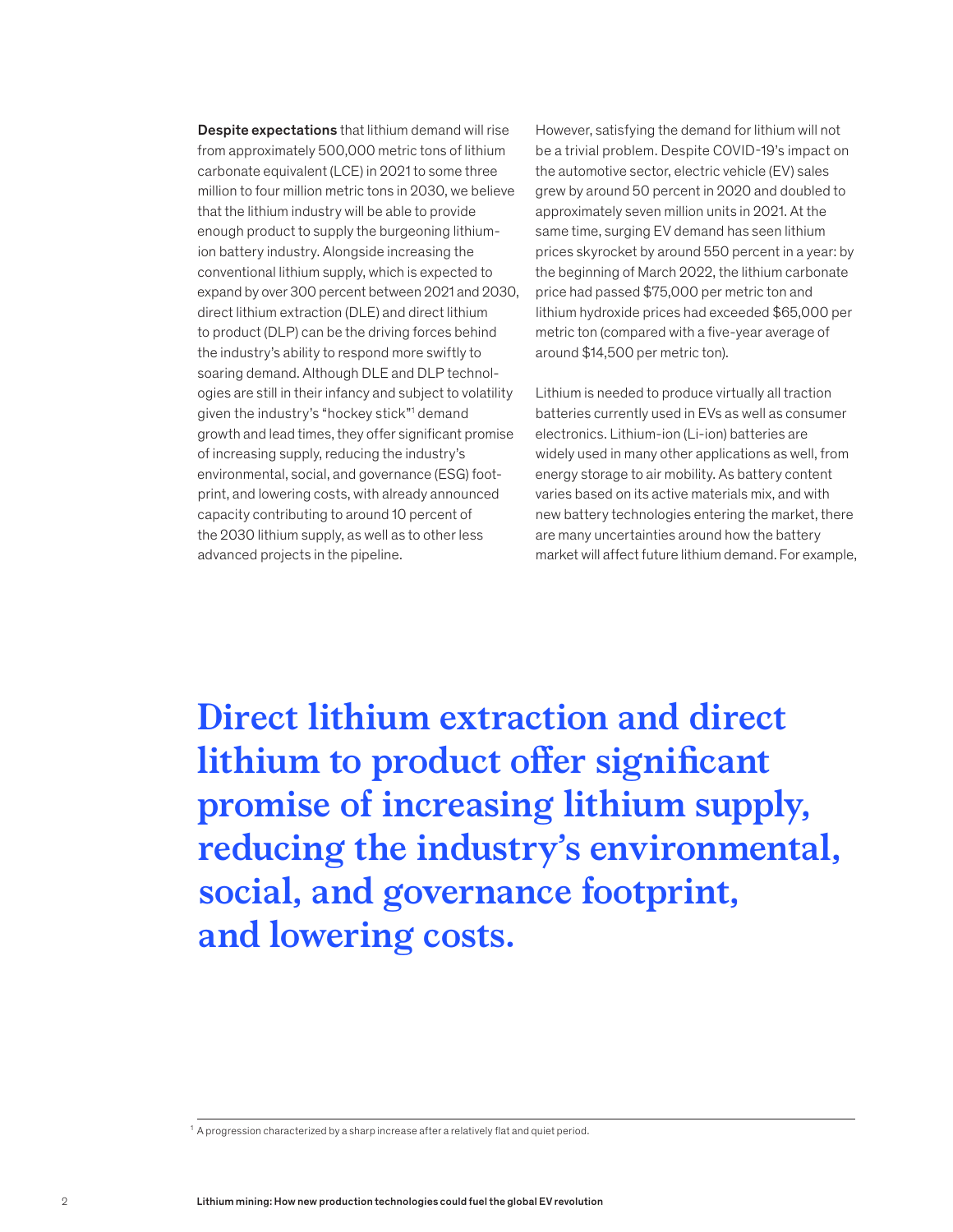Despite expectations that lithium demand will rise from approximately 500,000 metric tons of lithium carbonate equivalent (LCE) in 2021 to some three million to four million metric tons in 2030, we believe that the lithium industry will be able to provide enough product to supply the burgeoning lithiumion battery industry. Alongside increasing the conventional lithium supply, which is expected to expand by over 300 percent between 2021 and 2030, direct lithium extraction (DLE) and direct lithium to product (DLP) can be the driving forces behind the industry's ability to respond more swiftly to soaring demand. Although DLE and DLP technologies are still in their infancy and subject to volatility given the industry's "hockey stick"1 demand growth and lead times, they offer significant promise of increasing supply, reducing the industry's environmental, social, and governance (ESG) footprint, and lowering costs, with already announced capacity contributing to around 10 percent of the 2030 lithium supply, as well as to other less advanced projects in the pipeline.

However, satisfying the demand for lithium will not be a trivial problem. Despite COVID-19's impact on the automotive sector, electric vehicle (EV) sales grew by around 50 percent in 2020 and doubled to approximately seven million units in 2021. At the same time, surging EV demand has seen lithium prices skyrocket by around 550 percent in a year: by the beginning of March 2022, the lithium carbonate price had passed \$75,000 per metric ton and lithium hydroxide prices had exceeded \$65,000 per metric ton (compared with a five-year average of around \$14,500 per metric ton).

Lithium is needed to produce virtually all traction batteries currently used in EVs as well as consumer electronics. Lithium-ion (Li-ion) batteries are widely used in many other applications as well, from energy storage to air mobility. As battery content varies based on its active materials mix, and with new battery technologies entering the market, there are many uncertainties around how the battery market will affect future lithium demand. For example,

**Direct lithium extraction and direct lithium to product offer significant promise of increasing lithium supply, reducing the industry's environmental, social, and governance footprint, and lowering costs.** 

 $^1$  A progression characterized by a sharp increase after a relatively flat and quiet period.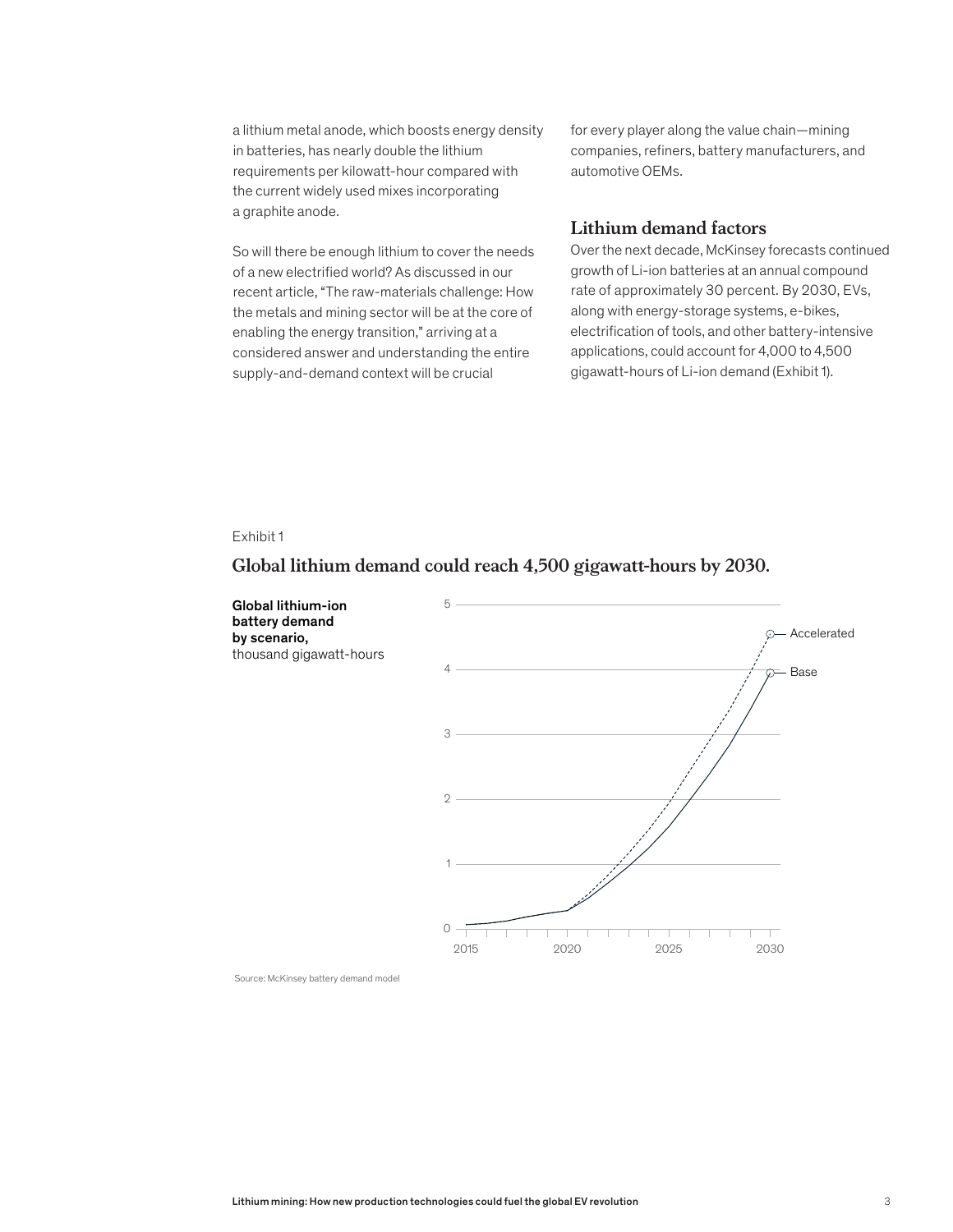a lithium metal anode, which boosts energy density in batteries, has nearly double the lithium requirements per kilowatt-hour compared with the current widely used mixes incorporating a graphite anode.

So will there be enough lithium to cover the needs of a new electrified world? As discussed in our recent article, "The raw-materials challenge: How the metals and mining sector will be at the core of enabling the energy transition," arriving at a considered answer and understanding the entire supply-and-demand context will be crucial

for every player along the value chain—mining companies, refiners, battery manufacturers, and automotive OEMs.

# **Lithium demand factors**

Over the next decade, McKinsey forecasts continued growth of Li-ion batteries at an annual compound rate of approximately 30 percent. By 2030, EVs, along with energy-storage systems, e-bikes, electrification of tools, and other battery-intensive applications, could account for 4,000 to 4,500 gigawatt-hours of Li-ion demand (Exhibit 1).

#### Exhibit 1

# Global lithium demand could reach 4,500 gigawatt-hours by 2030. **Global lithium demand could reach 4,500 gigawatt-hours by 2030.**

Global lithium-ion 5 battery demand Accelerated  $\odot$ by scenario, thousand gigawatt-hours 4 Base 3  $\overline{2}$ 1 0 2015 2020 2025 2030

Source: McKinsey battery demand model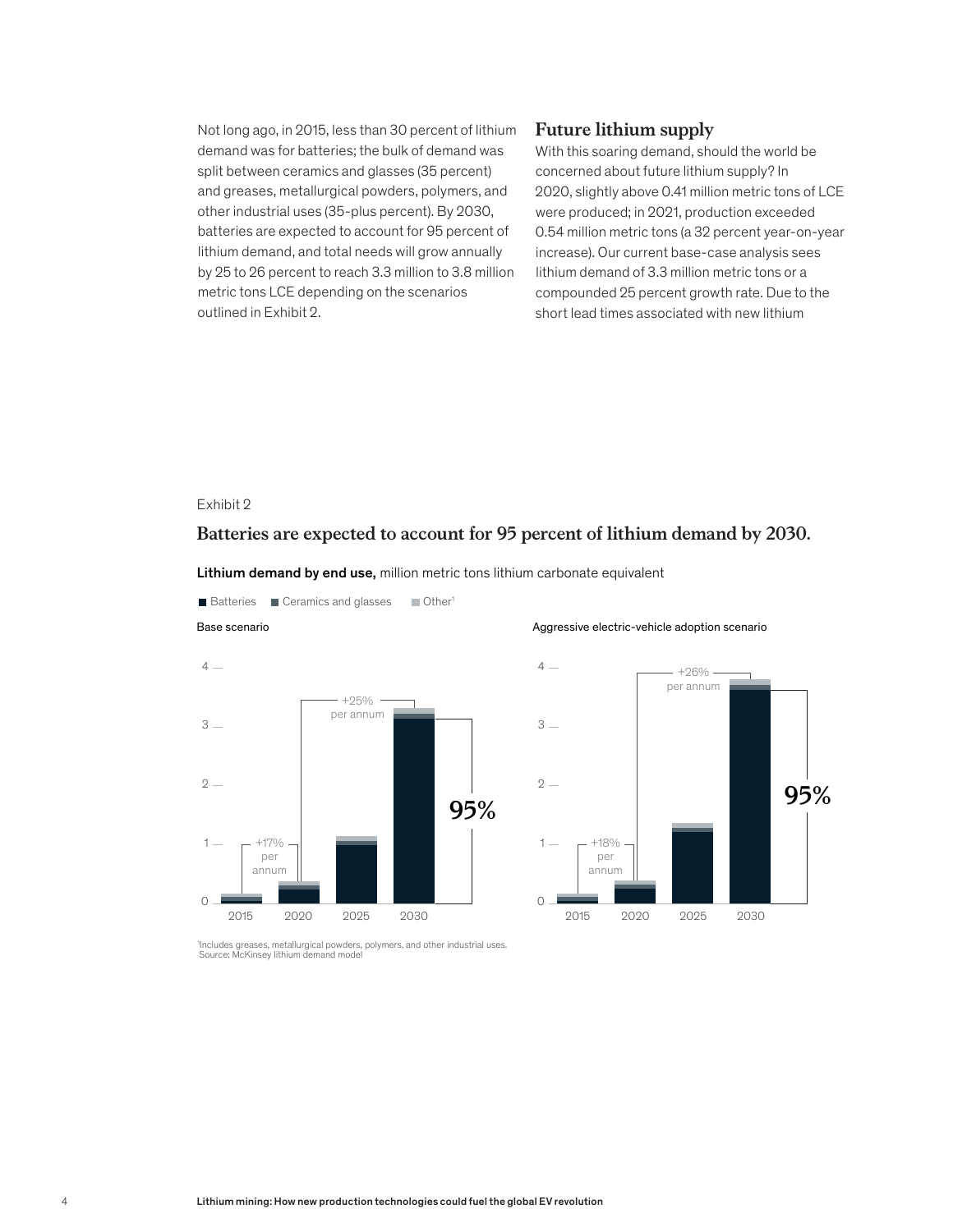Not long ago, in 2015, less than 30 percent of lithium demand was for batteries; the bulk of demand was split between ceramics and glasses (35 percent) and greases, metallurgical powders, polymers, and other industrial uses (35-plus percent). By 2030, batteries are expected to account for 95 percent of lithium demand, and total needs will grow annually by 25 to 26 percent to reach 3.3 million to 3.8 million metric tons LCE depending on the scenarios outlined in Exhibit 2.

# **Future lithium supply**

With this soaring demand, should the world be concerned about future lithium supply? In 2020, slightly above 0.41 million metric tons of LCE were produced; in 2021, production exceeded 0.54 million metric tons (a 32 percent year-on-year increase). Our current base-case analysis sees lithium demand of 3.3 million metric tons or a compounded 25 percent growth rate. Due to the short lead times associated with new lithium

# Exhibit 2

# Batteries are expected to account for 95 percent of lithium demand by 2030. **Batteries are expected to account for 95 percent of lithium demand by 2030.**

Lithium demand by end use, million metric tons lithium carbonate equivalent



Batteries **Ceramics and glasses** Cher<sup>1</sup>

Aggressive electric-vehicle adoption scenario



1 Includes greases, metallurgical powders, polymers, and other industrial uses. Source: McKinsey lithium demand model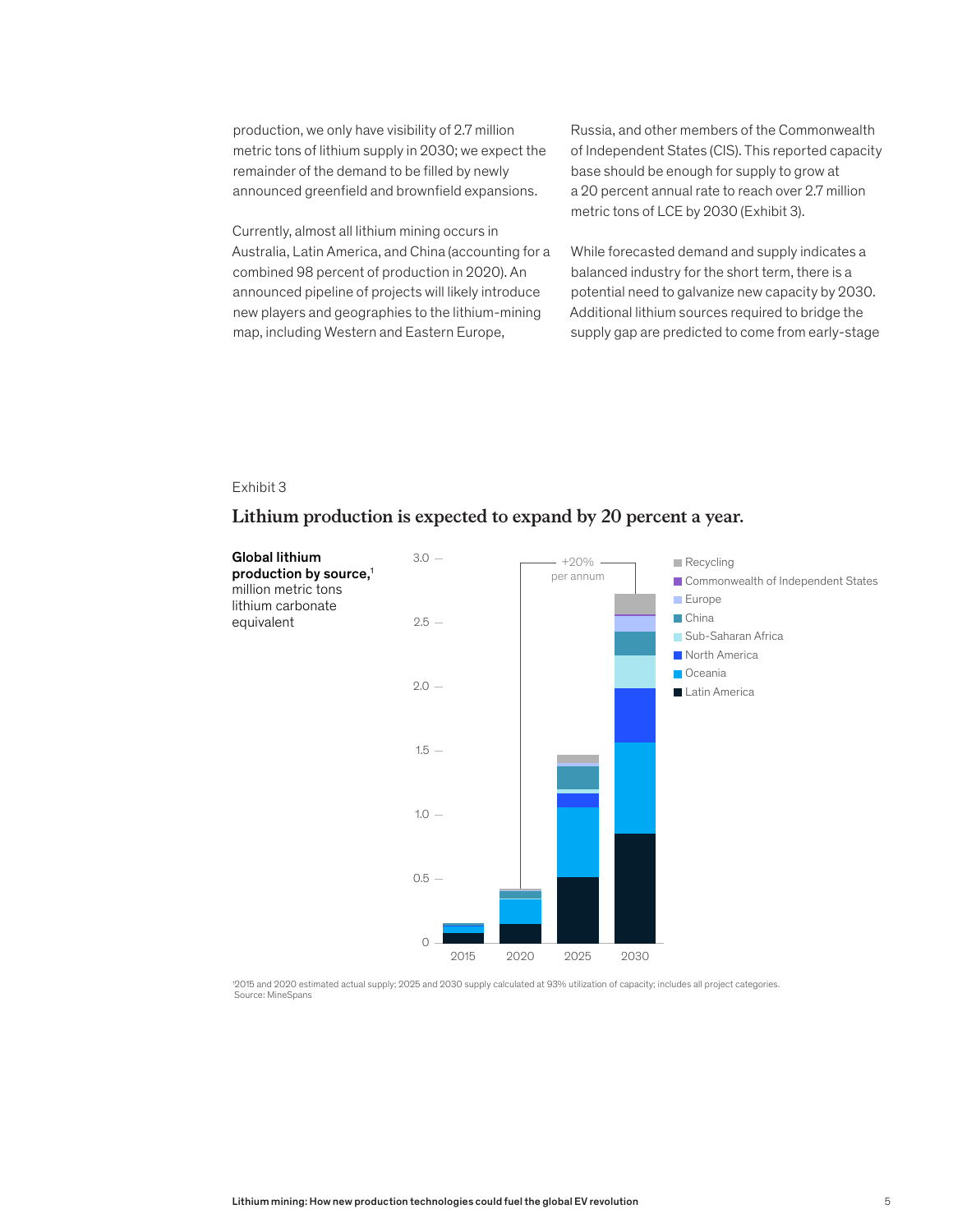production, we only have visibility of 2.7 million metric tons of lithium supply in 2030; we expect the remainder of the demand to be filled by newly announced greenfield and brownfield expansions.

Currently, almost all lithium mining occurs in Australia, Latin America, and China (accounting for a combined 98 percent of production in 2020). An announced pipeline of projects will likely introduce new players and geographies to the lithium-mining map, including Western and Eastern Europe,

Russia, and other members of the Commonwealth of Independent States (CIS). This reported capacity base should be enough for supply to grow at a 20 percent annual rate to reach over 2.7 million metric tons of LCE by 2030 (Exhibit 3).

While forecasted demand and supply indicates a balanced industry for the short term, there is a potential need to galvanize new capacity by 2030. Additional lithium sources required to bridge the supply gap are predicted to come from early-stage

# Exhibit 3

# Lithium production is expected to expand by 20 percent a year. **Lithium production is expected to expand by 20 percent a year.**



1 2015 and 2020 estimated actual supply; 2025 and 2030 supply calculated at 93% utilization of capacity; includes all project categories. Source: MineSpans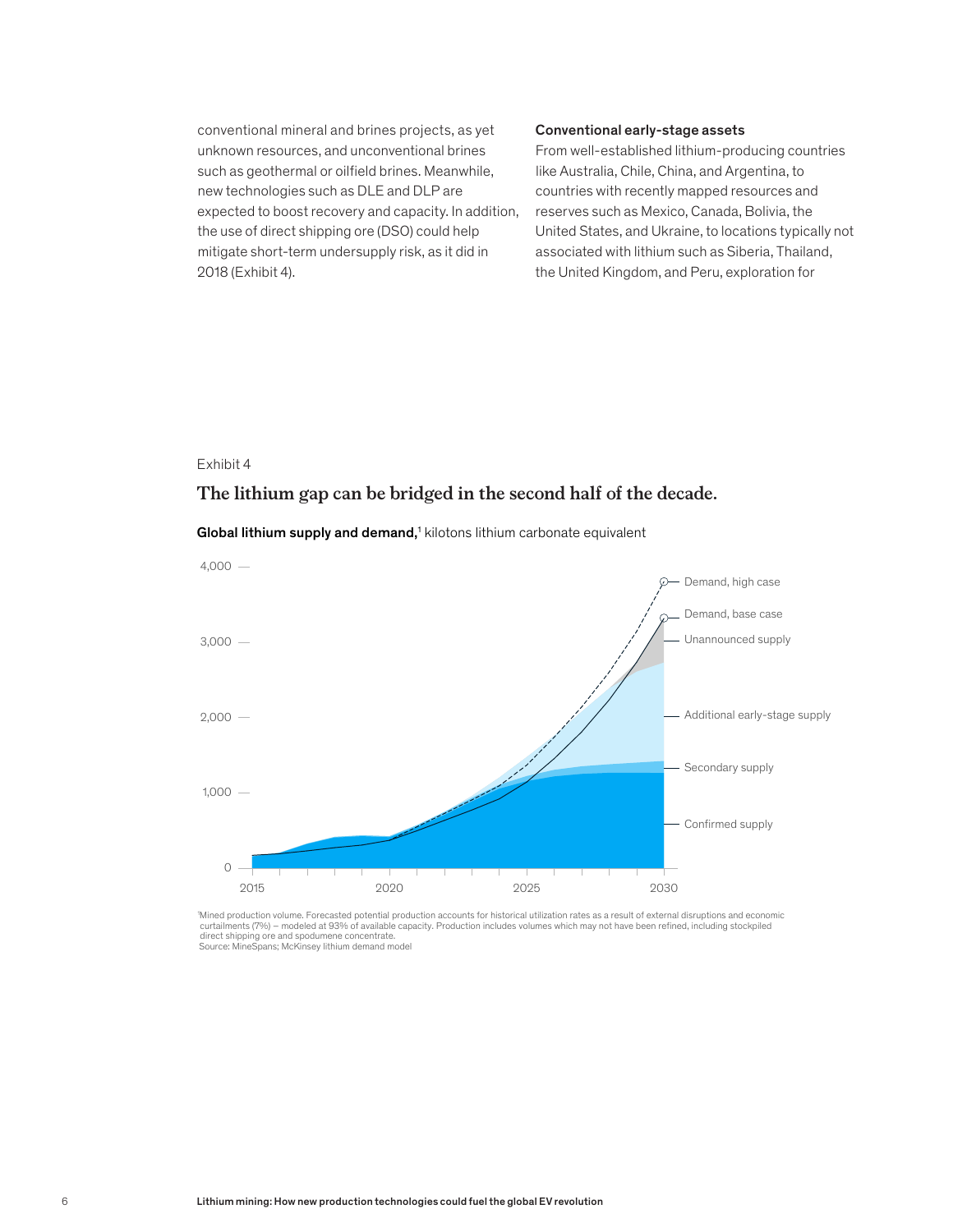conventional mineral and brines projects, as yet unknown resources, and unconventional brines such as geothermal or oilfield brines. Meanwhile, new technologies such as DLE and DLP are expected to boost recovery and capacity. In addition, the use of direct shipping ore (DSO) could help mitigate short-term undersupply risk, as it did in 2018 (Exhibit 4).

#### Conventional early-stage assets

From well-established lithium-producing countries like Australia, Chile, China, and Argentina, to countries with recently mapped resources and reserves such as Mexico, Canada, Bolivia, the United States, and Ukraine, to locations typically not associated with lithium such as Siberia, Thailand, the United Kingdom, and Peru, exploration for

#### Exhibit 4

# The lithium gap can be bridged in the second half of the decade. **The lithium gap can be bridged in the second half of the decade.**



#### Global lithium supply and demand,<sup>1</sup> kilotons lithium carbonate equivalent

'Mined production volume. Forecasted potential production accounts for historical utilization rates as a result of external disruptions and economic<br>curtailments (7%) – modeled at 93% of available capacity. Production incl direct shipping ore and spodumene concentrate. Source: MineSpans; McKinsey lithium demand model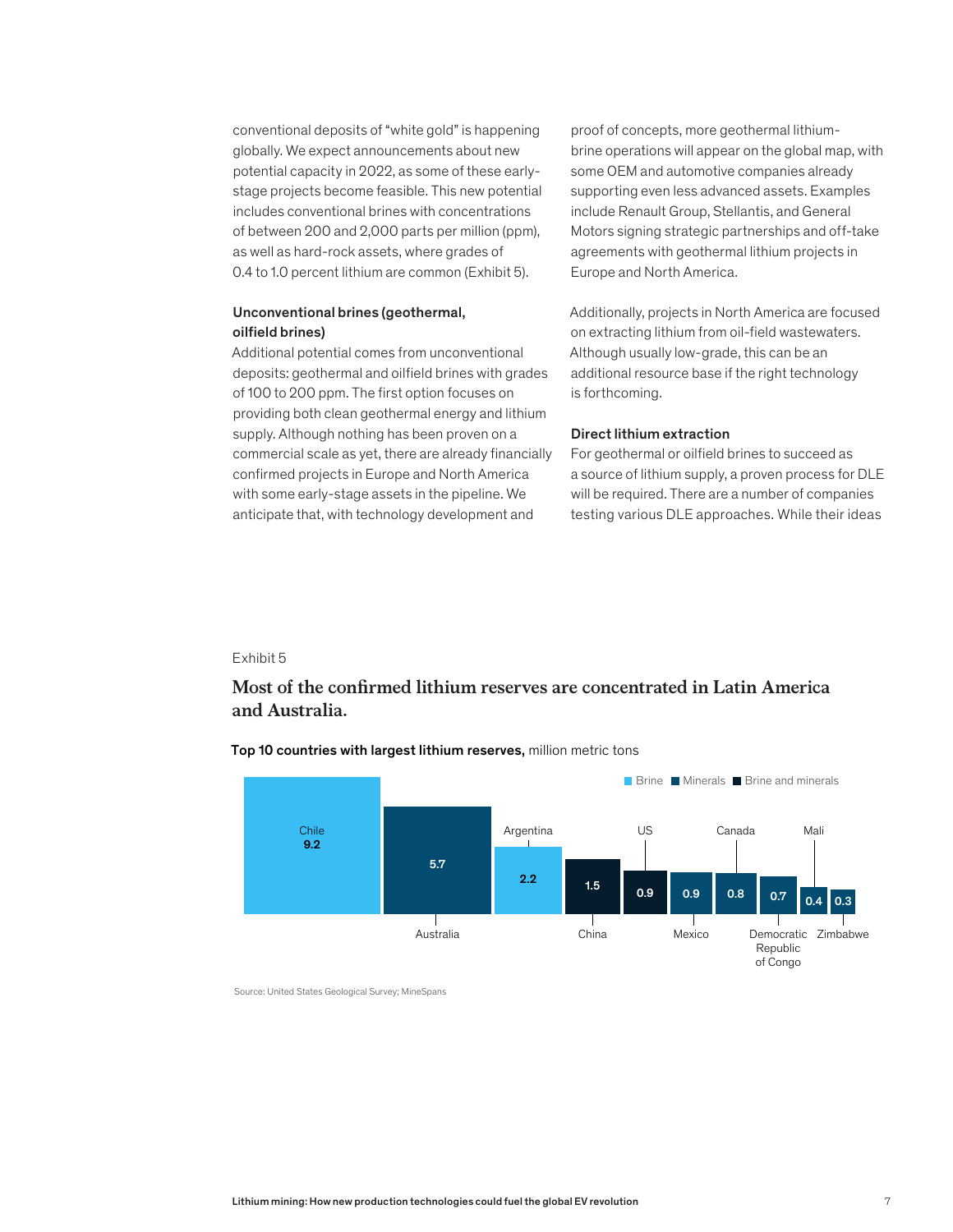conventional deposits of "white gold" is happening globally. We expect announcements about new potential capacity in 2022, as some of these earlystage projects become feasible. This new potential includes conventional brines with concentrations of between 200 and 2,000 parts per million (ppm), as well as hard-rock assets, where grades of 0.4 to 1.0 percent lithium are common (Exhibit 5).

# Unconventional brines (geothermal, oilfield brines)

Additional potential comes from unconventional deposits: geothermal and oilfield brines with grades of 100 to 200 ppm. The first option focuses on providing both clean geothermal energy and lithium supply. Although nothing has been proven on a commercial scale as yet, there are already financially confirmed projects in Europe and North America with some early-stage assets in the pipeline. We anticipate that, with technology development and

proof of concepts, more geothermal lithiumbrine operations will appear on the global map, with some OEM and automotive companies already supporting even less advanced assets. Examples include Renault Group, Stellantis, and General Motors signing strategic partnerships and off-take agreements with geothermal lithium projects in Europe and North America.

Additionally, projects in North America are focused on extracting lithium from oil-field wastewaters. Although usually low-grade, this can be an additional resource base if the right technology is forthcoming.

#### Direct lithium extraction

For geothermal or oilfield brines to succeed as a source of lithium supply, a proven process for DLE will be required. There are a number of companies testing various DLE approaches. While their ideas

#### Exhibit 5

# Most of the confirmed lithium reserves are concentrated in Latin America and Australia. **and Australia.**



Top 10 countries with largest lithium reserves, million metric tons

Source: United States Geological Survey; MineSpans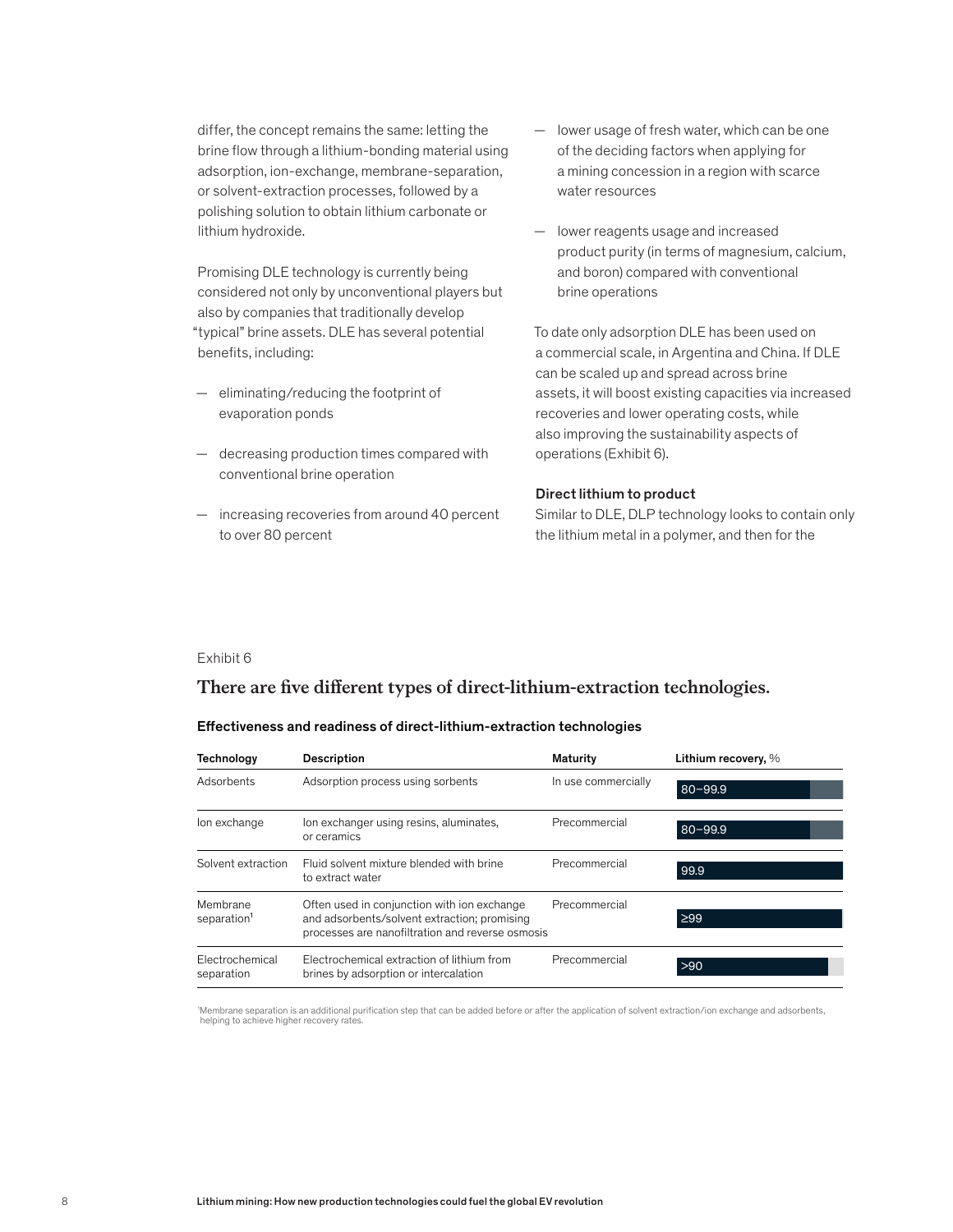differ, the concept remains the same: letting the brine flow through a lithium-bonding material using adsorption, ion-exchange, membrane-separation, or solvent-extraction processes, followed by a polishing solution to obtain lithium carbonate or lithium hydroxide.

Promising DLE technology is currently being considered not only by unconventional players but also by companies that traditionally develop "typical" brine assets. DLE has several potential benefits, including:

- eliminating/reducing the footprint of evaporation ponds
- decreasing production times compared with conventional brine operation
- increasing recoveries from around 40 percent to over 80 percent
- lower usage of fresh water, which can be one of the deciding factors when applying for a mining concession in a region with scarce water resources
- lower reagents usage and increased product purity (in terms of magnesium, calcium, and boron) compared with conventional brine operations

To date only adsorption DLE has been used on a commercial scale, in Argentina and China. If DLE can be scaled up and spread across brine assets, it will boost existing capacities via increased recoveries and lower operating costs, while also improving the sustainability aspects of operations (Exhibit 6).

#### Direct lithium to product

Similar to DLE, DLP technology looks to contain only the lithium metal in a polymer, and then for the

#### Exhibit 6

# There are five different types of direct-lithium-extraction technologies.

#### Effectiveness and readiness of direct-lithium-extraction technologies

| Technology                          | <b>Description</b>                                                                                                                              | Maturity            | Lithium recovery, % |
|-------------------------------------|-------------------------------------------------------------------------------------------------------------------------------------------------|---------------------|---------------------|
| Adsorbents                          | Adsorption process using sorbents                                                                                                               | In use commercially | $80 - 99.9$         |
| lon exchange                        | lon exchanger using resins, aluminates,<br>or ceramics                                                                                          | Precommercial       | $80 - 99.9$         |
| Solvent extraction                  | Fluid solvent mixture blended with brine<br>to extract water                                                                                    | Precommercial       | 99.9                |
| Membrane<br>separation <sup>1</sup> | Often used in conjunction with ion exchange<br>and adsorbents/solvent extraction; promising<br>processes are nanofiltration and reverse osmosis | Precommercial       | $\geq 99$           |
| Electrochemical<br>separation       | Electrochemical extraction of lithium from<br>brines by adsorption or intercalation                                                             | Precommercial       | $>90$               |

'Membrane separation is an additional purification step that can be added before or after the application of solvent extraction/ion exchange and adsorbents, helping to achieve higher recovery rates.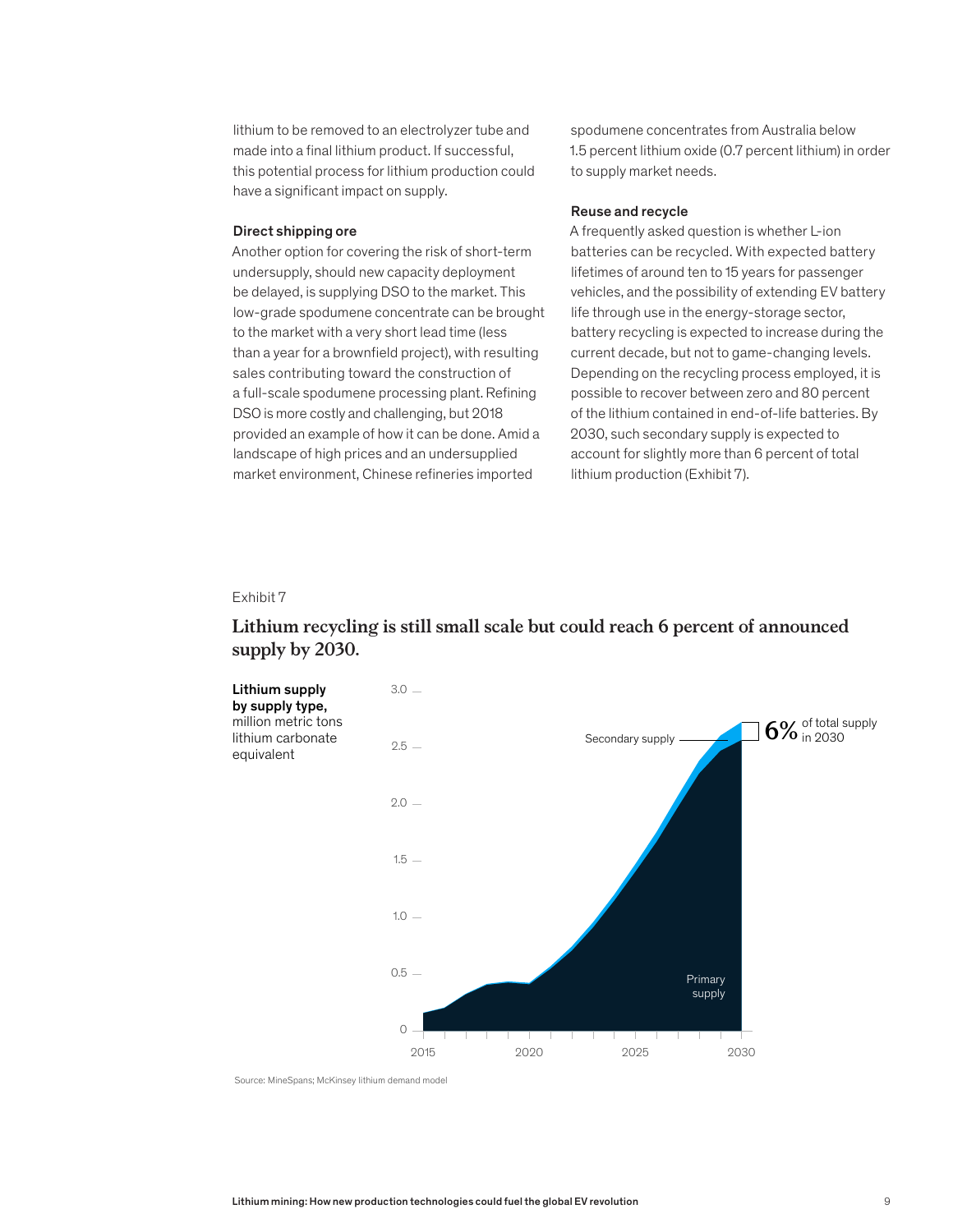lithium to be removed to an electrolyzer tube and made into a final lithium product. If successful, this potential process for lithium production could have a significant impact on supply.

#### Direct shipping ore

Another option for covering the risk of short-term undersupply, should new capacity deployment be delayed, is supplying DSO to the market. This low-grade spodumene concentrate can be brought to the market with a very short lead time (less than a year for a brownfield project), with resulting sales contributing toward the construction of a full-scale spodumene processing plant. Refining DSO is more costly and challenging, but 2018 provided an example of how it can be done. Amid a landscape of high prices and an undersupplied market environment, Chinese refineries imported

spodumene concentrates from Australia below 1.5 percent lithium oxide (0.7 percent lithium) in order to supply market needs.

#### Reuse and recycle

A frequently asked question is whether L-ion batteries can be recycled. With expected battery lifetimes of around ten to 15 years for passenger vehicles, and the possibility of extending EV battery life through use in the energy-storage sector, battery recycling is expected to increase during the current decade, but not to game-changing levels. Depending on the recycling process employed, it is possible to recover between zero and 80 percent of the lithium contained in end-of-life batteries. By 2030, such secondary supply is expected to account for slightly more than 6 percent of total lithium production (Exhibit 7).

#### Exhibit 7

# Lithium recycling is still small scale but could reach 6 percent of announced **Lithium recycling is still small scale but could reach 6 percent of announced supply by 2030.** supply by 2030.



Source: MineSpans; McKinsey lithium demand model